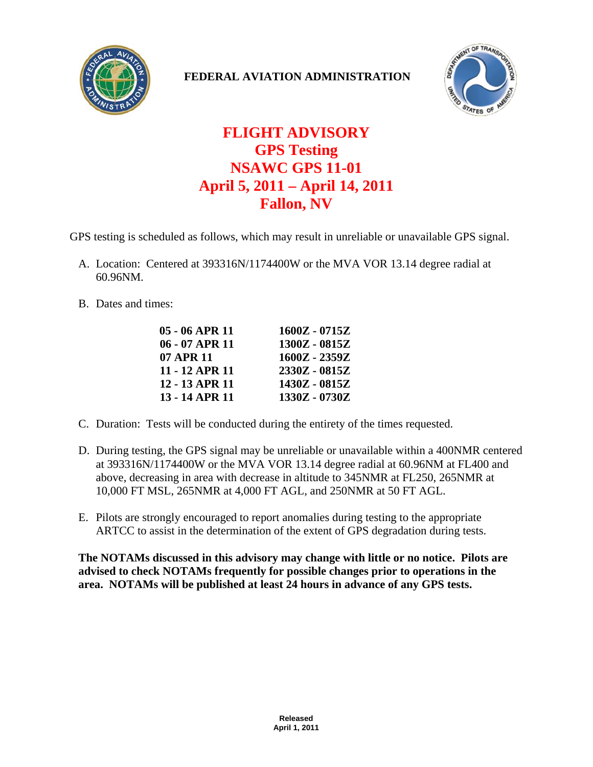

## **FEDERAL AVIATION ADMINISTRATION**



## **FLIGHT ADVISORY GPS Testing NSAWC GPS 11-01 April 5, 2011 – April 14, 2011 Fallon, NV**

GPS testing is scheduled as follows, which may result in unreliable or unavailable GPS signal.

- A. Location: Centered at 393316N/1174400W or the MVA VOR 13.14 degree radial at 60.96NM.
- B. Dates and times:

| $1600Z - 0715Z$ |
|-----------------|
| 1300Z - 0815Z   |
| $1600Z - 2359Z$ |
| 2330Z - 0815Z   |
| 1430Z - 0815Z   |
| 1330Z - 0730Z   |
|                 |

- C. Duration: Tests will be conducted during the entirety of the times requested.
- D. During testing, the GPS signal may be unreliable or unavailable within a 400NMR centered at 393316N/1174400W or the MVA VOR 13.14 degree radial at 60.96NM at FL400 and above, decreasing in area with decrease in altitude to 345NMR at FL250, 265NMR at 10,000 FT MSL, 265NMR at 4,000 FT AGL, and 250NMR at 50 FT AGL.
- E. Pilots are strongly encouraged to report anomalies during testing to the appropriate ARTCC to assist in the determination of the extent of GPS degradation during tests.

**The NOTAMs discussed in this advisory may change with little or no notice. Pilots are advised to check NOTAMs frequently for possible changes prior to operations in the area. NOTAMs will be published at least 24 hours in advance of any GPS tests.**